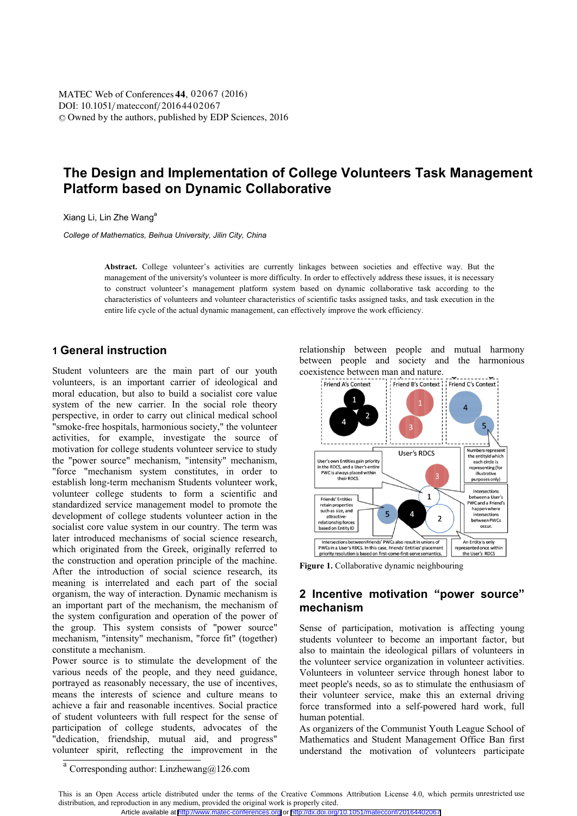DOI: 10.1051/matecconf/20164402067 © Owned by the authors, published by EDP Sciences, 2016 MATEC Web of Conferences 44, 02067 (2016)

# **The Design and Implementation of College Volunteers Task Management Platform based on Dynamic Collaborative**

Xiang Li, Lin Zhe Wang<sup>a</sup>

*College of Mathematics, Beihua University, Jilin City, China* 

Abstract. College volunteer's activities are currently linkages between societies and effective way. But the management of the university's volunteer is more difficulty. In order to effectively address these issues, it is necessary to construct volunteer's management platform system based on dynamic collaborative task according to the characteristics of volunteers and volunteer characteristics of scientific tasks assigned tasks, and task execution in the entire life cycle of the actual dynamic management, can effectively improve the work efficiency.

### **1 General instruction**

Student volunteers are the main part of our youth volunteers, is an important carrier of ideological and moral education, but also to build a socialist core value system of the new carrier. In the social role theory perspective, in order to carry out clinical medical school "smoke-free hospitals, harmonious society," the volunteer activities, for example, investigate the source of motivation for college students volunteer service to study the "power source" mechanism, "intensity" mechanism, "force "mechanism system constitutes, in order to establish long-term mechanism Students volunteer work, volunteer college students to form a scientific and standardized service management model to promote the development of college students volunteer action in the socialist core value system in our country. The term was later introduced mechanisms of social science research, which originated from the Greek, originally referred to the construction and operation principle of the machine. After the introduction of social science research, its meaning is interrelated and each part of the social organism, the way of interaction. Dynamic mechanism is an important part of the mechanism, the mechanism of the system configuration and operation of the power of the group. This system consists of "power source" mechanism, "intensity" mechanism, "force fit" (together) constitute a mechanism.

Power source is to stimulate the development of the various needs of the people, and they need guidance, portrayed as reasonably necessary, the use of incentives, means the interests of science and culture means to achieve a fair and reasonable incentives. Social practice of student volunteers with full respect for the sense of participation of college students, advocates of the "dedication, friendship, mutual aid, and progress" volunteer spirit, reflecting the improvement in the

relationship between people and mutual harmony between people and society and the harmonious coexistence between man and nature.



**Figure 1.** Collaborative dynamic neighbouring

### **2 Incentive motivation "power source" mechanism**

Sense of participation, motivation is affecting young students volunteer to become an important factor, but also to maintain the ideological pillars of volunteers in the volunteer service organization in volunteer activities. Volunteers in volunteer service through honest labor to meet people's needs, so as to stimulate the enthusiasm of their volunteer service, make this an external driving force transformed into a self-powered hard work, full human potential.

As organizers of the Communist Youth League School of Mathematics and Student Management Office Ban first understand the motivation of volunteers participate

 $a$  Corresponding author: Linzhewang@126.com

This is an Open Access article distributed under the terms of the Creative Commons Attribution License 4.0, which permits unrestricted use distribution, and reproduction in any medium, provided the original work is properly cited. Article available at <http://www.matec-conferences.org> or <http://dx.doi.org/10.1051/matecconf/20164402067>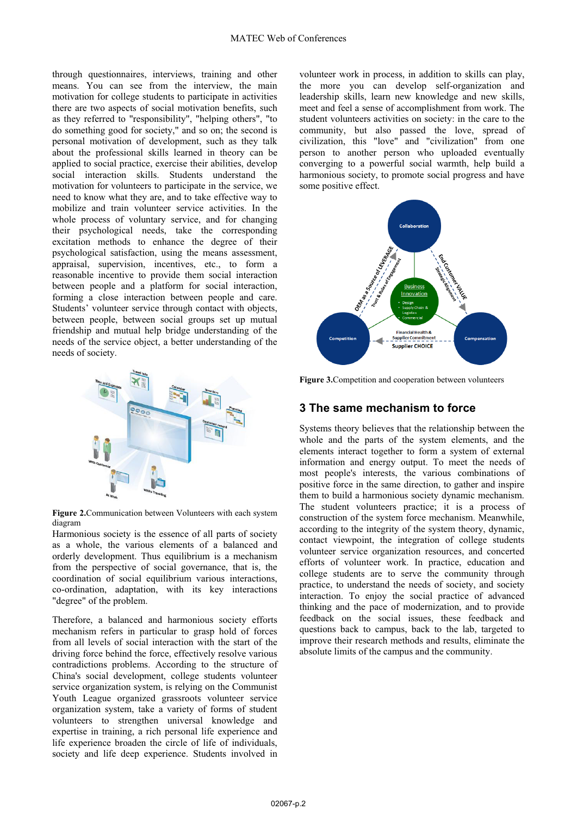#### MATEC Web of Conferences

through questionnaires, interviews, training and other means. You can see from the interview, the main motivation for college students to participate in activities there are two aspects of social motivation benefits, such as they referred to "responsibility", "helping others", "to do something good for society," and so on; the second is personal motivation of development, such as they talk about the professional skills learned in theory can be applied to social practice, exercise their abilities, develop social interaction skills. Students understand the motivation for volunteers to participate in the service, we need to know what they are, and to take effective way to mobilize and train volunteer service activities. In the whole process of voluntary service, and for changing their psychological needs, take the corresponding excitation methods to enhance the degree of their psychological satisfaction, using the means assessment, appraisal, supervision, incentives, etc., to form a reasonable incentive to provide them social interaction between people and a platform for social interaction, forming a close interaction between people and care. Students' volunteer service through contact with objects, between people, between social groups set up mutual friendship and mutual help bridge understanding of the needs of the service object, a better understanding of the needs of society.



**Figure 2.**Communication between Volunteers with each system diagram

Harmonious society is the essence of all parts of society as a whole, the various elements of a balanced and orderly development. Thus equilibrium is a mechanism from the perspective of social governance, that is, the coordination of social equilibrium various interactions, co-ordination, adaptation, with its key interactions "degree" of the problem.

Therefore, a balanced and harmonious society efforts mechanism refers in particular to grasp hold of forces from all levels of social interaction with the start of the driving force behind the force, effectively resolve various contradictions problems. According to the structure of China's social development, college students volunteer service organization system, is relying on the Communist Youth League organized grassroots volunteer service organization system, take a variety of forms of student volunteers to strengthen universal knowledge and expertise in training, a rich personal life experience and life experience broaden the circle of life of individuals, society and life deep experience. Students involved in

volunteer work in process, in addition to skills can play, the more you can develop self-organization and leadership skills, learn new knowledge and new skills, meet and feel a sense of accomplishment from work. The student volunteers activities on society: in the care to the community, but also passed the love, spread of civilization, this "love" and "civilization" from one person to another person who uploaded eventually converging to a powerful social warmth, help build a harmonious society, to promote social progress and have some positive effect.



**Figure 3.**Competition and cooperation between volunteers

### **3 The same mechanism to force**

Systems theory believes that the relationship between the whole and the parts of the system elements, and the elements interact together to form a system of external information and energy output. To meet the needs of most people's interests, the various combinations of positive force in the same direction, to gather and inspire them to build a harmonious society dynamic mechanism. The student volunteers practice; it is a process of construction of the system force mechanism. Meanwhile, according to the integrity of the system theory, dynamic, contact viewpoint, the integration of college students volunteer service organization resources, and concerted efforts of volunteer work. In practice, education and college students are to serve the community through practice, to understand the needs of society, and society interaction. To enjoy the social practice of advanced thinking and the pace of modernization, and to provide feedback on the social issues, these feedback and questions back to campus, back to the lab, targeted to improve their research methods and results, eliminate the absolute limits of the campus and the community.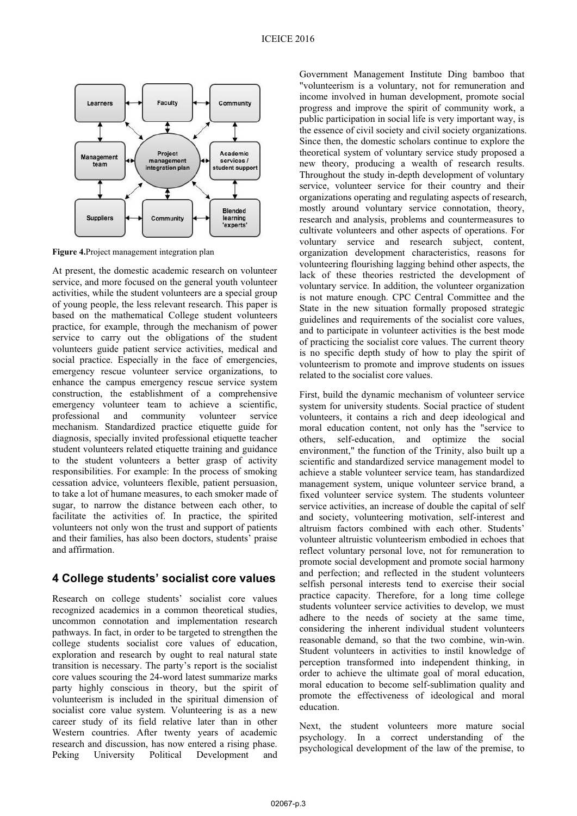

**Figure 4.**Project management integration plan

At present, the domestic academic research on volunteer service, and more focused on the general youth volunteer activities, while the student volunteers are a special group of young people, the less relevant research. This paper is based on the mathematical College student volunteers practice, for example, through the mechanism of power service to carry out the obligations of the student volunteers guide patient service activities, medical and social practice. Especially in the face of emergencies, emergency rescue volunteer service organizations, to enhance the campus emergency rescue service system construction, the establishment of a comprehensive emergency volunteer team to achieve a scientific, professional and community volunteer service mechanism. Standardized practice etiquette guide for diagnosis, specially invited professional etiquette teacher student volunteers related etiquette training and guidance to the student volunteers a better grasp of activity responsibilities. For example: In the process of smoking cessation advice, volunteers flexible, patient persuasion, to take a lot of humane measures, to each smoker made of sugar, to narrow the distance between each other, to facilitate the activities of. In practice, the spirited volunteers not only won the trust and support of patients and their families, has also been doctors, students' praise and affirmation.

### **4 College students' socialist core values**

Research on college students' socialist core values recognized academics in a common theoretical studies, uncommon connotation and implementation research pathways. In fact, in order to be targeted to strengthen the college students socialist core values of education, exploration and research by ought to real natural state transition is necessary. The party's report is the socialist core values scouring the 24-word latest summarize marks party highly conscious in theory, but the spirit of volunteerism is included in the spiritual dimension of socialist core value system. Volunteering is as a new career study of its field relative later than in other Western countries. After twenty years of academic research and discussion, has now entered a rising phase. Peking University Political Development and

Government Management Institute Ding bamboo that "volunteerism is a voluntary, not for remuneration and income involved in human development, promote social progress and improve the spirit of community work, a public participation in social life is very important way, is the essence of civil society and civil society organizations. Since then, the domestic scholars continue to explore the theoretical system of voluntary service study proposed a new theory, producing a wealth of research results. Throughout the study in-depth development of voluntary service, volunteer service for their country and their organizations operating and regulating aspects of research, mostly around voluntary service connotation, theory, research and analysis, problems and countermeasures to cultivate volunteers and other aspects of operations. For voluntary service and research subject, content, organization development characteristics, reasons for volunteering flourishing lagging behind other aspects, the lack of these theories restricted the development of voluntary service. In addition, the volunteer organization is not mature enough. CPC Central Committee and the State in the new situation formally proposed strategic guidelines and requirements of the socialist core values, and to participate in volunteer activities is the best mode of practicing the socialist core values. The current theory is no specific depth study of how to play the spirit of volunteerism to promote and improve students on issues related to the socialist core values.

First, build the dynamic mechanism of volunteer service system for university students. Social practice of student volunteers, it contains a rich and deep ideological and moral education content, not only has the "service to others, self-education, and optimize the social environment," the function of the Trinity, also built up a scientific and standardized service management model to achieve a stable volunteer service team, has standardized management system, unique volunteer service brand, a fixed volunteer service system. The students volunteer service activities, an increase of double the capital of self and society, volunteering motivation, self-interest and altruism factors combined with each other. Students' volunteer altruistic volunteerism embodied in echoes that reflect voluntary personal love, not for remuneration to promote social development and promote social harmony and perfection; and reflected in the student volunteers selfish personal interests tend to exercise their social practice capacity. Therefore, for a long time college students volunteer service activities to develop, we must adhere to the needs of society at the same time, considering the inherent individual student volunteers reasonable demand, so that the two combine, win-win. Student volunteers in activities to instil knowledge of perception transformed into independent thinking, in order to achieve the ultimate goal of moral education, moral education to become self-sublimation quality and promote the effectiveness of ideological and moral education.

Next, the student volunteers more mature social psychology. In a correct understanding of the psychological development of the law of the premise, to